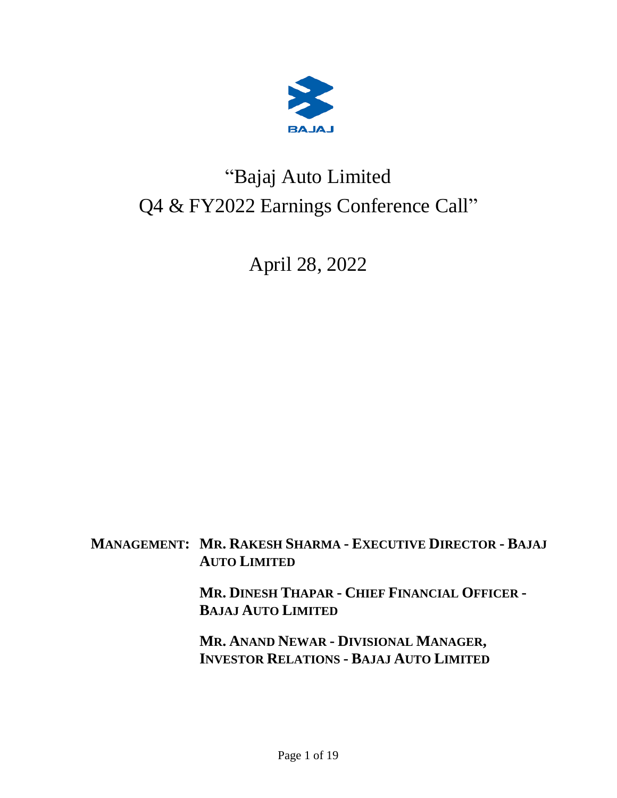

# "Bajaj Auto Limited Q4 & FY2022 Earnings Conference Call"

April 28, 2022

**MANAGEMENT: MR. RAKESH SHARMA - EXECUTIVE DIRECTOR - BAJAJ AUTO LIMITED**

> **MR. DINESH THAPAR - CHIEF FINANCIAL OFFICER - BAJAJ AUTO LIMITED**

**MR. ANAND NEWAR - DIVISIONAL MANAGER, INVESTOR RELATIONS - BAJAJ AUTO LIMITED**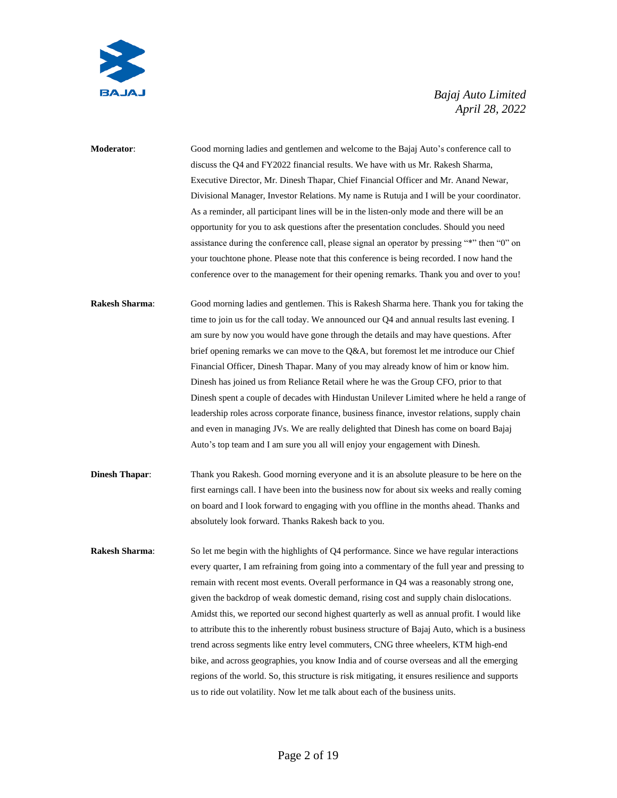

**Moderator**: Good morning ladies and gentlemen and welcome to the Bajaj Auto's conference call to discuss the Q4 and FY2022 financial results. We have with us Mr. Rakesh Sharma, Executive Director, Mr. Dinesh Thapar, Chief Financial Officer and Mr. Anand Newar, Divisional Manager, Investor Relations. My name is Rutuja and I will be your coordinator. As a reminder, all participant lines will be in the listen-only mode and there will be an opportunity for you to ask questions after the presentation concludes. Should you need assistance during the conference call, please signal an operator by pressing "\*" then "0" on your touchtone phone. Please note that this conference is being recorded. I now hand the conference over to the management for their opening remarks. Thank you and over to you! **Rakesh Sharma**: Good morning ladies and gentlemen. This is Rakesh Sharma here. Thank you for taking the time to join us for the call today. We announced our Q4 and annual results last evening. I am sure by now you would have gone through the details and may have questions. After brief opening remarks we can move to the Q&A, but foremost let me introduce our Chief Financial Officer, Dinesh Thapar. Many of you may already know of him or know him. Dinesh has joined us from Reliance Retail where he was the Group CFO, prior to that Dinesh spent a couple of decades with Hindustan Unilever Limited where he held a range of leadership roles across corporate finance, business finance, investor relations, supply chain and even in managing JVs. We are really delighted that Dinesh has come on board Bajaj Auto's top team and I am sure you all will enjoy your engagement with Dinesh. **Dinesh Thapar:** Thank you Rakesh. Good morning everyone and it is an absolute pleasure to be here on the first earnings call. I have been into the business now for about six weeks and really coming on board and I look forward to engaging with you offline in the months ahead. Thanks and absolutely look forward. Thanks Rakesh back to you. **Rakesh Sharma:** So let me begin with the highlights of Q4 performance. Since we have regular interactions every quarter, I am refraining from going into a commentary of the full year and pressing to remain with recent most events. Overall performance in Q4 was a reasonably strong one, given the backdrop of weak domestic demand, rising cost and supply chain dislocations. Amidst this, we reported our second highest quarterly as well as annual profit. I would like to attribute this to the inherently robust business structure of Bajaj Auto, which is a business trend across segments like entry level commuters, CNG three wheelers, KTM high-end bike, and across geographies, you know India and of course overseas and all the emerging regions of the world. So, this structure is risk mitigating, it ensures resilience and supports us to ride out volatility. Now let me talk about each of the business units.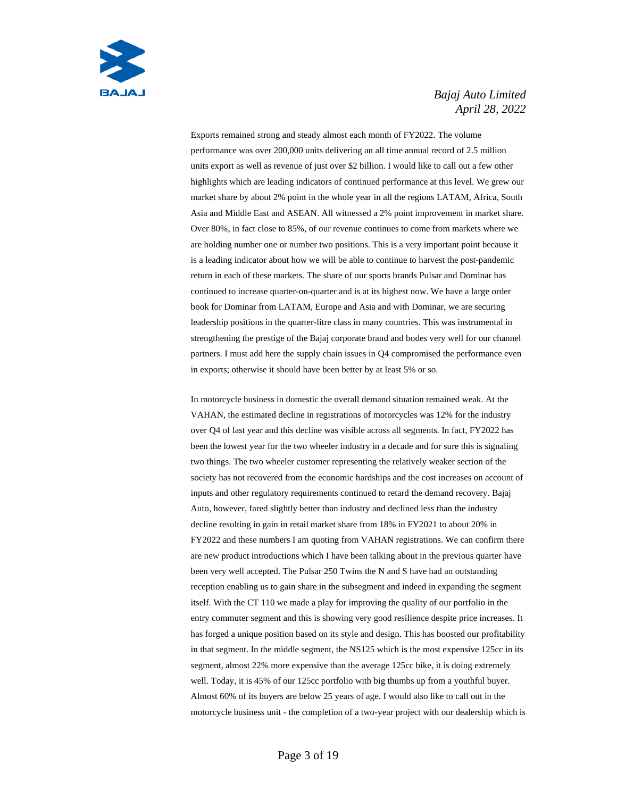

Exports remained strong and steady almost each month of FY2022. The volume performance was over 200,000 units delivering an all time annual record of 2.5 million units export as well as revenue of just over \$2 billion. I would like to call out a few other highlights which are leading indicators of continued performance at this level. We grew our market share by about 2% point in the whole year in all the regions LATAM, Africa, South Asia and Middle East and ASEAN. All witnessed a 2% point improvement in market share. Over 80%, in fact close to 85%, of our revenue continues to come from markets where we are holding number one or number two positions. This is a very important point because it is a leading indicator about how we will be able to continue to harvest the post-pandemic return in each of these markets. The share of our sports brands Pulsar and Dominar has continued to increase quarter-on-quarter and is at its highest now. We have a large order book for Dominar from LATAM, Europe and Asia and with Dominar, we are securing leadership positions in the quarter-litre class in many countries. This was instrumental in strengthening the prestige of the Bajaj corporate brand and bodes very well for our channel partners. I must add here the supply chain issues in Q4 compromised the performance even in exports; otherwise it should have been better by at least 5% or so.

In motorcycle business in domestic the overall demand situation remained weak. At the VAHAN, the estimated decline in registrations of motorcycles was 12% for the industry over Q4 of last year and this decline was visible across all segments. In fact, FY2022 has been the lowest year for the two wheeler industry in a decade and for sure this is signaling two things. The two wheeler customer representing the relatively weaker section of the society has not recovered from the economic hardships and the cost increases on account of inputs and other regulatory requirements continued to retard the demand recovery. Bajaj Auto, however, fared slightly better than industry and declined less than the industry decline resulting in gain in retail market share from 18% in FY2021 to about 20% in FY2022 and these numbers I am quoting from VAHAN registrations. We can confirm there are new product introductions which I have been talking about in the previous quarter have been very well accepted. The Pulsar 250 Twins the N and S have had an outstanding reception enabling us to gain share in the subsegment and indeed in expanding the segment itself. With the CT 110 we made a play for improving the quality of our portfolio in the entry commuter segment and this is showing very good resilience despite price increases. It has forged a unique position based on its style and design. This has boosted our profitability in that segment. In the middle segment, the NS125 which is the most expensive 125cc in its segment, almost 22% more expensive than the average 125cc bike, it is doing extremely well. Today, it is 45% of our 125cc portfolio with big thumbs up from a youthful buyer. Almost 60% of its buyers are below 25 years of age. I would also like to call out in the motorcycle business unit - the completion of a two-year project with our dealership which is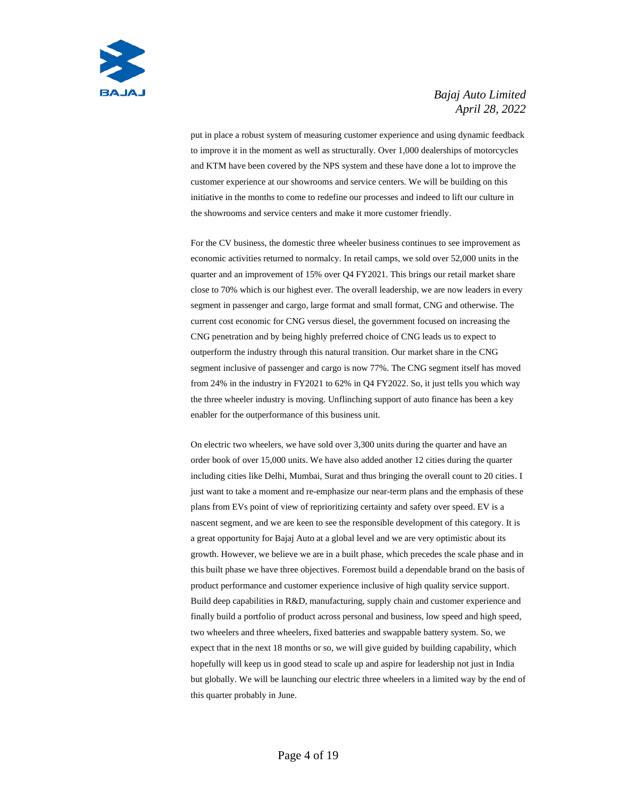

put in place a robust system of measuring customer experience and using dynamic feedback to improve it in the moment as well as structurally. Over 1,000 dealerships of motorcycles and KTM have been covered by the NPS system and these have done a lot to improve the customer experience at our showrooms and service centers. We will be building on this initiative in the months to come to redefine our processes and indeed to lift our culture in the showrooms and service centers and make it more customer friendly.

For the CV business, the domestic three wheeler business continues to see improvement as economic activities returned to normalcy. In retail camps, we sold over 52,000 units in the quarter and an improvement of 15% over Q4 FY2021. This brings our retail market share close to 70% which is our highest ever. The overall leadership, we are now leaders in every segment in passenger and cargo, large format and small format, CNG and otherwise. The current cost economic for CNG versus diesel, the government focused on increasing the CNG penetration and by being highly preferred choice of CNG leads us to expect to outperform the industry through this natural transition. Our market share in the CNG segment inclusive of passenger and cargo is now 77%. The CNG segment itself has moved from 24% in the industry in FY2021 to 62% in Q4 FY2022. So, it just tells you which way the three wheeler industry is moving. Unflinching support of auto finance has been a key enabler for the outperformance of this business unit.

On electric two wheelers, we have sold over 3,300 units during the quarter and have an order book of over 15,000 units. We have also added another 12 cities during the quarter including cities like Delhi, Mumbai, Surat and thus bringing the overall count to 20 cities. I just want to take a moment and re-emphasize our near-term plans and the emphasis of these plans from EVs point of view of reprioritizing certainty and safety over speed. EV is a nascent segment, and we are keen to see the responsible development of this category. It is a great opportunity for Bajaj Auto at a global level and we are very optimistic about its growth. However, we believe we are in a built phase, which precedes the scale phase and in this built phase we have three objectives. Foremost build a dependable brand on the basis of product performance and customer experience inclusive of high quality service support. Build deep capabilities in R&D, manufacturing, supply chain and customer experience and finally build a portfolio of product across personal and business, low speed and high speed, two wheelers and three wheelers, fixed batteries and swappable battery system. So, we expect that in the next 18 months or so, we will give guided by building capability, which hopefully will keep us in good stead to scale up and aspire for leadership not just in India but globally. We will be launching our electric three wheelers in a limited way by the end of this quarter probably in June.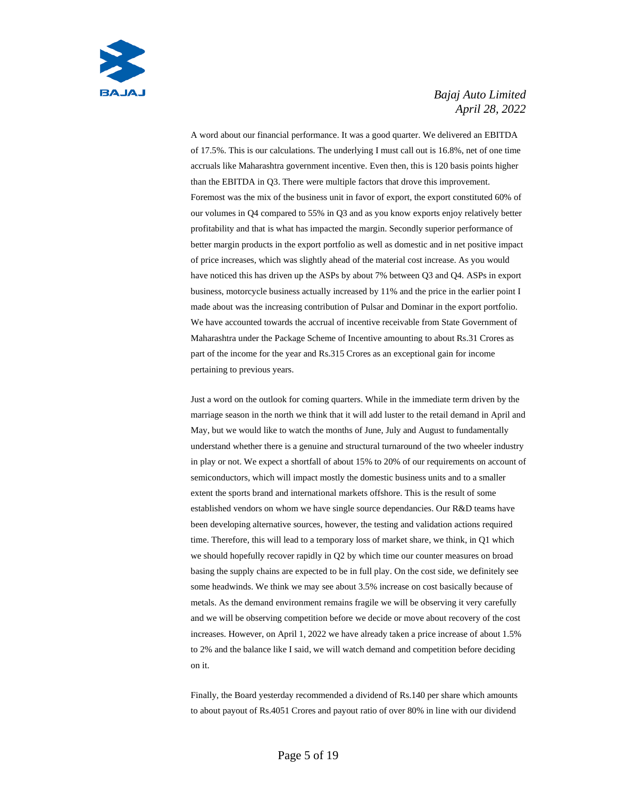

A word about our financial performance. It was a good quarter. We delivered an EBITDA of 17.5%. This is our calculations. The underlying I must call out is 16.8%, net of one time accruals like Maharashtra government incentive. Even then, this is 120 basis points higher than the EBITDA in Q3. There were multiple factors that drove this improvement. Foremost was the mix of the business unit in favor of export, the export constituted 60% of our volumes in Q4 compared to 55% in Q3 and as you know exports enjoy relatively better profitability and that is what has impacted the margin. Secondly superior performance of better margin products in the export portfolio as well as domestic and in net positive impact of price increases, which was slightly ahead of the material cost increase. As you would have noticed this has driven up the ASPs by about 7% between Q3 and Q4. ASPs in export business, motorcycle business actually increased by 11% and the price in the earlier point I made about was the increasing contribution of Pulsar and Dominar in the export portfolio. We have accounted towards the accrual of incentive receivable from State Government of Maharashtra under the Package Scheme of Incentive amounting to about Rs.31 Crores as part of the income for the year and Rs.315 Crores as an exceptional gain for income pertaining to previous years.

Just a word on the outlook for coming quarters. While in the immediate term driven by the marriage season in the north we think that it will add luster to the retail demand in April and May, but we would like to watch the months of June, July and August to fundamentally understand whether there is a genuine and structural turnaround of the two wheeler industry in play or not. We expect a shortfall of about 15% to 20% of our requirements on account of semiconductors, which will impact mostly the domestic business units and to a smaller extent the sports brand and international markets offshore. This is the result of some established vendors on whom we have single source dependancies. Our R&D teams have been developing alternative sources, however, the testing and validation actions required time. Therefore, this will lead to a temporary loss of market share, we think, in Q1 which we should hopefully recover rapidly in Q2 by which time our counter measures on broad basing the supply chains are expected to be in full play. On the cost side, we definitely see some headwinds. We think we may see about 3.5% increase on cost basically because of metals. As the demand environment remains fragile we will be observing it very carefully and we will be observing competition before we decide or move about recovery of the cost increases. However, on April 1, 2022 we have already taken a price increase of about 1.5% to 2% and the balance like I said, we will watch demand and competition before deciding on it.

Finally, the Board yesterday recommended a dividend of Rs.140 per share which amounts to about payout of Rs.4051 Crores and payout ratio of over 80% in line with our dividend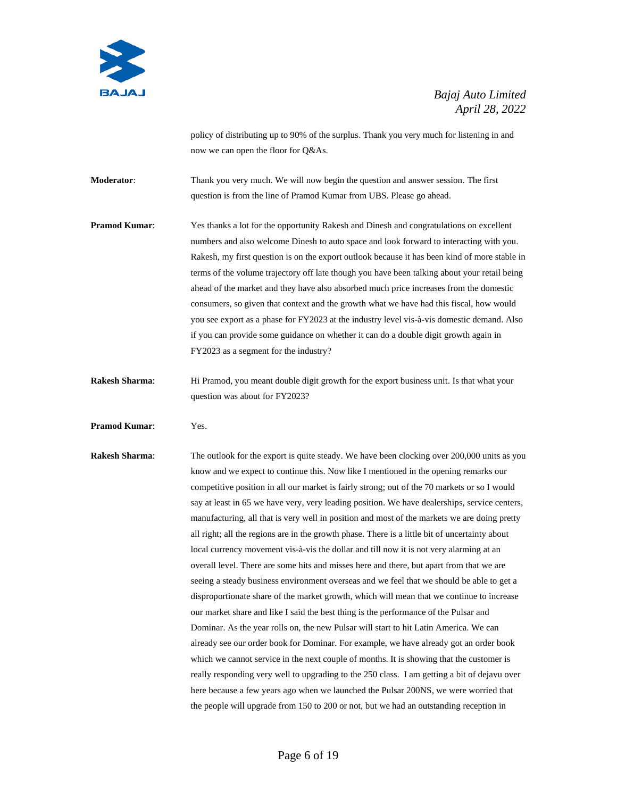

policy of distributing up to 90% of the surplus. Thank you very much for listening in and now we can open the floor for Q&As.

**Moderator**: Thank you very much. We will now begin the question and answer session. The first question is from the line of Pramod Kumar from UBS. Please go ahead.

**Pramod Kumar:** Yes thanks a lot for the opportunity Rakesh and Dinesh and congratulations on excellent numbers and also welcome Dinesh to auto space and look forward to interacting with you. Rakesh, my first question is on the export outlook because it has been kind of more stable in terms of the volume trajectory off late though you have been talking about your retail being ahead of the market and they have also absorbed much price increases from the domestic consumers, so given that context and the growth what we have had this fiscal, how would you see export as a phase for FY2023 at the industry level vis-à-vis domestic demand. Also if you can provide some guidance on whether it can do a double digit growth again in FY2023 as a segment for the industry?

- **Rakesh Sharma:** Hi Pramod, you meant double digit growth for the export business unit. Is that what your question was about for FY2023?
- **Pramod Kumar**: Yes.

**Rakesh Sharma:** The outlook for the export is quite steady. We have been clocking over 200,000 units as you know and we expect to continue this. Now like I mentioned in the opening remarks our competitive position in all our market is fairly strong; out of the 70 markets or so I would say at least in 65 we have very, very leading position. We have dealerships, service centers, manufacturing, all that is very well in position and most of the markets we are doing pretty all right; all the regions are in the growth phase. There is a little bit of uncertainty about local currency movement vis-à-vis the dollar and till now it is not very alarming at an overall level. There are some hits and misses here and there, but apart from that we are seeing a steady business environment overseas and we feel that we should be able to get a disproportionate share of the market growth, which will mean that we continue to increase our market share and like I said the best thing is the performance of the Pulsar and Dominar. As the year rolls on, the new Pulsar will start to hit Latin America. We can already see our order book for Dominar. For example, we have already got an order book which we cannot service in the next couple of months. It is showing that the customer is really responding very well to upgrading to the 250 class. I am getting a bit of dejavu over here because a few years ago when we launched the Pulsar 200NS, we were worried that the people will upgrade from 150 to 200 or not, but we had an outstanding reception in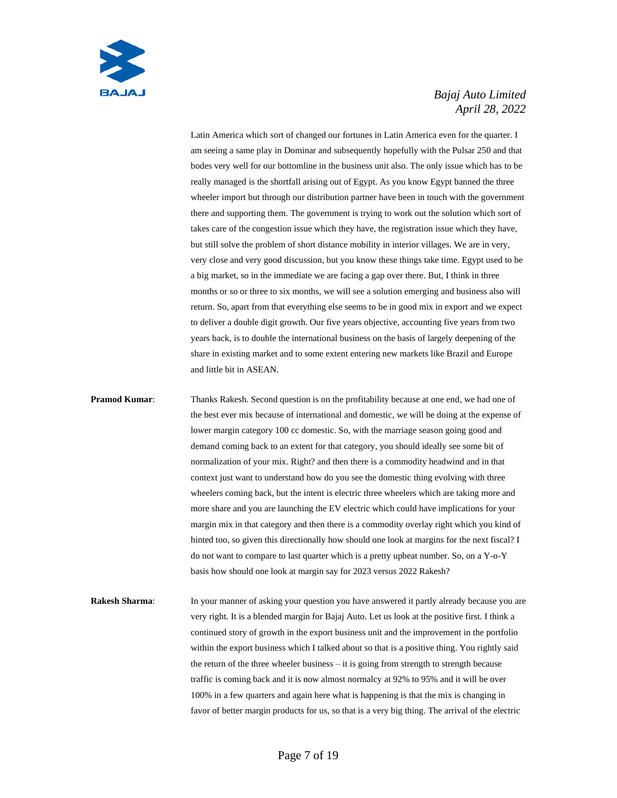

Latin America which sort of changed our fortunes in Latin America even for the quarter. I am seeing a same play in Dominar and subsequently hopefully with the Pulsar 250 and that bodes very well for our bottomline in the business unit also. The only issue which has to be really managed is the shortfall arising out of Egypt. As you know Egypt banned the three wheeler import but through our distribution partner have been in touch with the government there and supporting them. The government is trying to work out the solution which sort of takes care of the congestion issue which they have, the registration issue which they have, but still solve the problem of short distance mobility in interior villages. We are in very, very close and very good discussion, but you know these things take time. Egypt used to be a big market, so in the immediate we are facing a gap over there. But, I think in three months or so or three to six months, we will see a solution emerging and business also will return. So, apart from that everything else seems to be in good mix in export and we expect to deliver a double digit growth. Our five years objective, accounting five years from two years back, is to double the international business on the basis of largely deepening of the share in existing market and to some extent entering new markets like Brazil and Europe and little bit in ASEAN.

**Pramod Kumar:** Thanks Rakesh. Second question is on the profitability because at one end, we had one of the best ever mix because of international and domestic, we will be doing at the expense of lower margin category 100 cc domestic. So, with the marriage season going good and demand coming back to an extent for that category, you should ideally see some bit of normalization of your mix. Right? and then there is a commodity headwind and in that context just want to understand how do you see the domestic thing evolving with three wheelers coming back, but the intent is electric three wheelers which are taking more and more share and you are launching the EV electric which could have implications for your margin mix in that category and then there is a commodity overlay right which you kind of hinted too, so given this directionally how should one look at margins for the next fiscal? I do not want to compare to last quarter which is a pretty upbeat number. So, on a Y-o-Y basis how should one look at margin say for 2023 versus 2022 Rakesh?

**Rakesh Sharma:** In your manner of asking your question you have answered it partly already because you are very right. It is a blended margin for Bajaj Auto. Let us look at the positive first. I think a continued story of growth in the export business unit and the improvement in the portfolio within the export business which I talked about so that is a positive thing. You rightly said the return of the three wheeler business – it is going from strength to strength because traffic is coming back and it is now almost normalcy at 92% to 95% and it will be over 100% in a few quarters and again here what is happening is that the mix is changing in favor of better margin products for us, so that is a very big thing. The arrival of the electric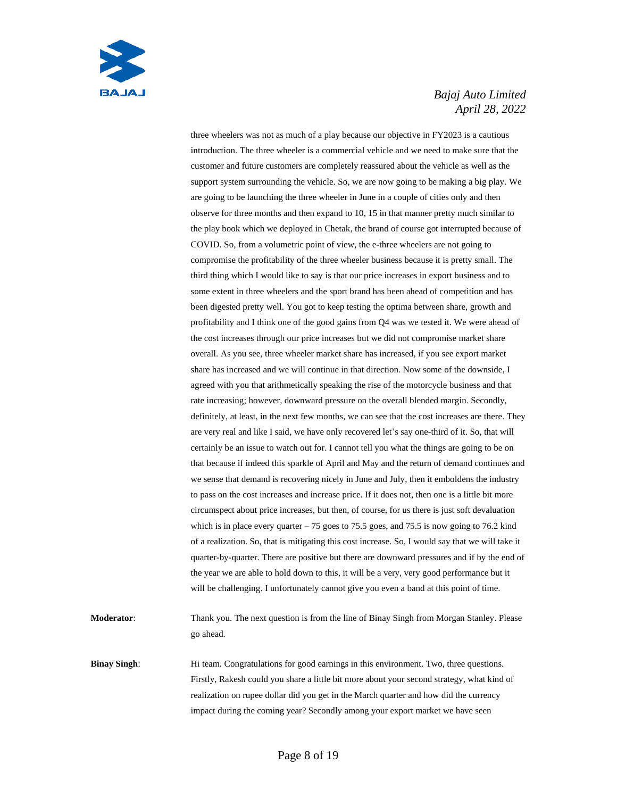

three wheelers was not as much of a play because our objective in FY2023 is a cautious introduction. The three wheeler is a commercial vehicle and we need to make sure that the customer and future customers are completely reassured about the vehicle as well as the support system surrounding the vehicle. So, we are now going to be making a big play. We are going to be launching the three wheeler in June in a couple of cities only and then observe for three months and then expand to 10, 15 in that manner pretty much similar to the play book which we deployed in Chetak, the brand of course got interrupted because of COVID. So, from a volumetric point of view, the e-three wheelers are not going to compromise the profitability of the three wheeler business because it is pretty small. The third thing which I would like to say is that our price increases in export business and to some extent in three wheelers and the sport brand has been ahead of competition and has been digested pretty well. You got to keep testing the optima between share, growth and profitability and I think one of the good gains from Q4 was we tested it. We were ahead of the cost increases through our price increases but we did not compromise market share overall. As you see, three wheeler market share has increased, if you see export market share has increased and we will continue in that direction. Now some of the downside, I agreed with you that arithmetically speaking the rise of the motorcycle business and that rate increasing; however, downward pressure on the overall blended margin. Secondly, definitely, at least, in the next few months, we can see that the cost increases are there. They are very real and like I said, we have only recovered let's say one-third of it. So, that will certainly be an issue to watch out for. I cannot tell you what the things are going to be on that because if indeed this sparkle of April and May and the return of demand continues and we sense that demand is recovering nicely in June and July, then it emboldens the industry to pass on the cost increases and increase price. If it does not, then one is a little bit more circumspect about price increases, but then, of course, for us there is just soft devaluation which is in place every quarter  $-75$  goes to 75.5 goes, and 75.5 is now going to 76.2 kind of a realization. So, that is mitigating this cost increase. So, I would say that we will take it quarter-by-quarter. There are positive but there are downward pressures and if by the end of the year we are able to hold down to this, it will be a very, very good performance but it will be challenging. I unfortunately cannot give you even a band at this point of time.

**Moderator**: Thank you. The next question is from the line of Binay Singh from Morgan Stanley. Please go ahead.

**Binay Singh:** Hi team. Congratulations for good earnings in this environment. Two, three questions. Firstly, Rakesh could you share a little bit more about your second strategy, what kind of realization on rupee dollar did you get in the March quarter and how did the currency impact during the coming year? Secondly among your export market we have seen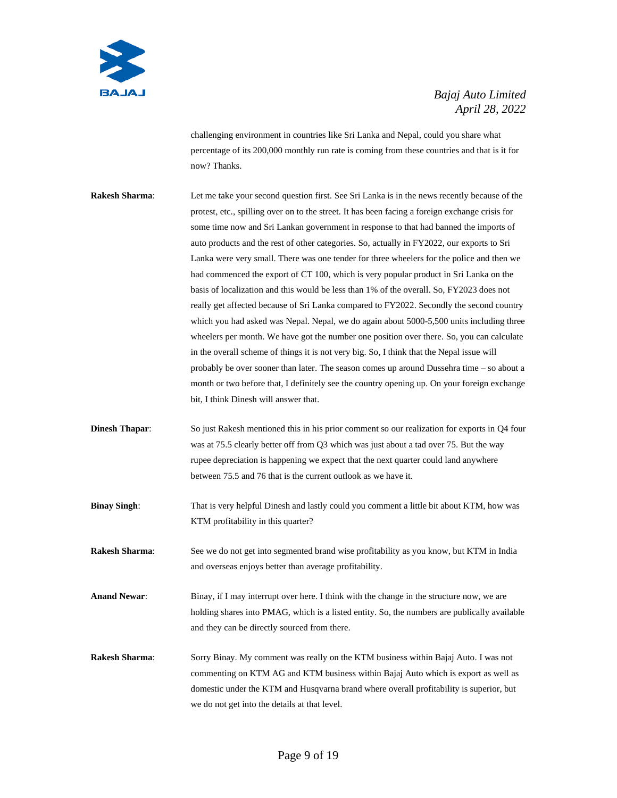

challenging environment in countries like Sri Lanka and Nepal, could you share what percentage of its 200,000 monthly run rate is coming from these countries and that is it for now? Thanks.

- **Rakesh Sharma**: Let me take your second question first. See Sri Lanka is in the news recently because of the protest, etc., spilling over on to the street. It has been facing a foreign exchange crisis for some time now and Sri Lankan government in response to that had banned the imports of auto products and the rest of other categories. So, actually in FY2022, our exports to Sri Lanka were very small. There was one tender for three wheelers for the police and then we had commenced the export of CT 100, which is very popular product in Sri Lanka on the basis of localization and this would be less than 1% of the overall. So, FY2023 does not really get affected because of Sri Lanka compared to FY2022. Secondly the second country which you had asked was Nepal. Nepal, we do again about 5000-5,500 units including three wheelers per month. We have got the number one position over there. So, you can calculate in the overall scheme of things it is not very big. So, I think that the Nepal issue will probably be over sooner than later. The season comes up around Dussehra time – so about a month or two before that, I definitely see the country opening up. On your foreign exchange bit, I think Dinesh will answer that.
- **Dinesh Thapar:** So just Rakesh mentioned this in his prior comment so our realization for exports in Q4 four was at 75.5 clearly better off from Q3 which was just about a tad over 75. But the way rupee depreciation is happening we expect that the next quarter could land anywhere between 75.5 and 76 that is the current outlook as we have it.
- **Binay Singh:** That is very helpful Dinesh and lastly could you comment a little bit about KTM, how was KTM profitability in this quarter?
- **Rakesh Sharma**: See we do not get into segmented brand wise profitability as you know, but KTM in India and overseas enjoys better than average profitability.
- **Anand Newar**: Binay, if I may interrupt over here. I think with the change in the structure now, we are holding shares into PMAG, which is a listed entity. So, the numbers are publically available and they can be directly sourced from there.
- **Rakesh Sharma**: Sorry Binay. My comment was really on the KTM business within Bajaj Auto. I was not commenting on KTM AG and KTM business within Bajaj Auto which is export as well as domestic under the KTM and Husqvarna brand where overall profitability is superior, but we do not get into the details at that level.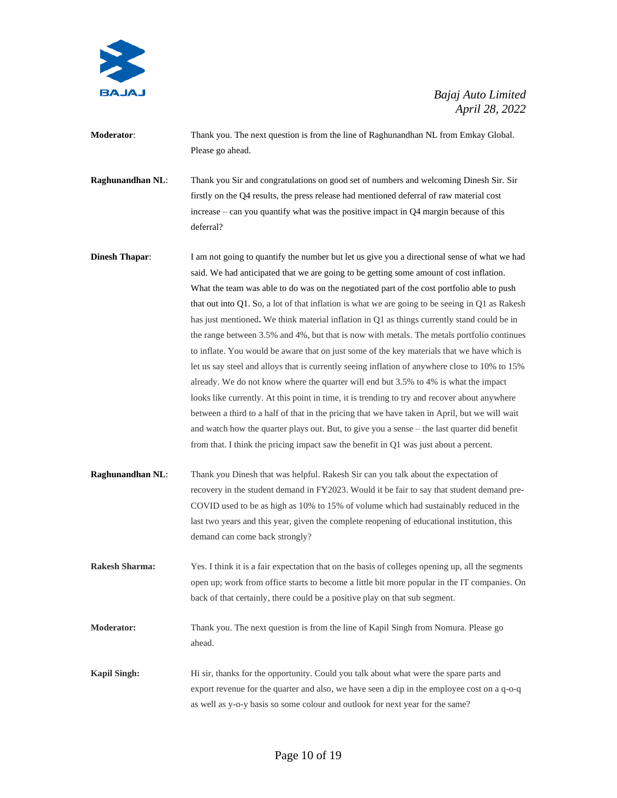

**Moderator**: Thank you. The next question is from the line of Raghunandhan NL from Emkay Global. Please go ahead.

**Raghunandhan NL**: Thank you Sir and congratulations on good set of numbers and welcoming Dinesh Sir. Sir firstly on the Q4 results, the press release had mentioned deferral of raw material cost increase – can you quantify what was the positive impact in Q4 margin because of this deferral?

**Dinesh Thapar:** I am not going to quantify the number but let us give you a directional sense of what we had said. We had anticipated that we are going to be getting some amount of cost inflation. What the team was able to do was on the negotiated part of the cost portfolio able to push that out into Q1. So, a lot of that inflation is what we are going to be seeing in Q1 as Rakesh has just mentioned**.** We think material inflation in Q1 as things currently stand could be in the range between 3.5% and 4%, but that is now with metals. The metals portfolio continues to inflate. You would be aware that on just some of the key materials that we have which is let us say steel and alloys that is currently seeing inflation of anywhere close to 10% to 15% already. We do not know where the quarter will end but 3.5% to 4% is what the impact looks like currently. At this point in time, it is trending to try and recover about anywhere between a third to a half of that in the pricing that we have taken in April, but we will wait and watch how the quarter plays out. But, to give you a sense – the last quarter did benefit from that. I think the pricing impact saw the benefit in Q1 was just about a percent.

**Raghunandhan NL**: Thank you Dinesh that was helpful. Rakesh Sir can you talk about the expectation of recovery in the student demand in FY2023. Would it be fair to say that student demand pre-COVID used to be as high as 10% to 15% of volume which had sustainably reduced in the last two years and this year, given the complete reopening of educational institution, this demand can come back strongly?

**Rakesh Sharma:** Yes. I think it is a fair expectation that on the basis of colleges opening up, all the segments open up; work from office starts to become a little bit more popular in the IT companies. On back of that certainly, there could be a positive play on that sub segment.

**Moderator:** Thank you. The next question is from the line of Kapil Singh from Nomura. Please go ahead.

**Kapil Singh:** Hi sir, thanks for the opportunity. Could you talk about what were the spare parts and export revenue for the quarter and also, we have seen a dip in the employee cost on a q-o-q as well as y-o-y basis so some colour and outlook for next year for the same?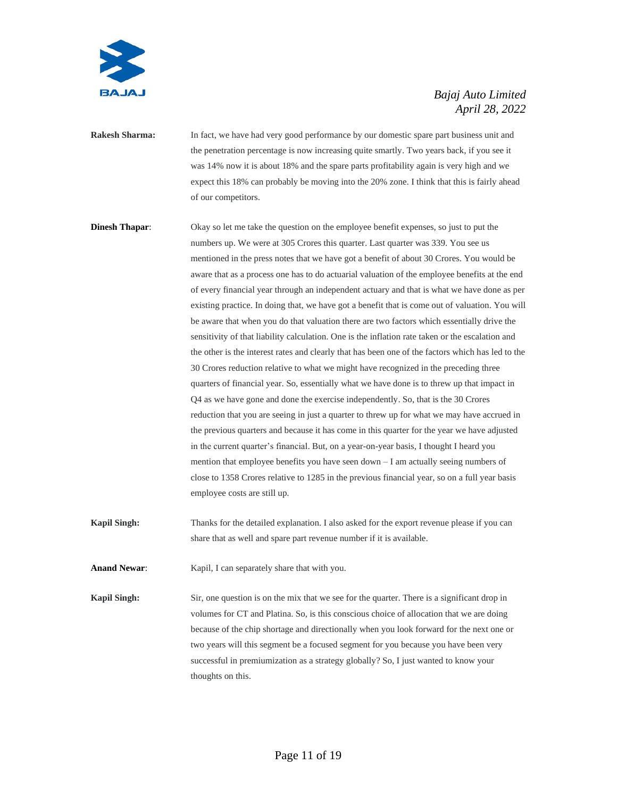

- **Rakesh Sharma:** In fact, we have had very good performance by our domestic spare part business unit and the penetration percentage is now increasing quite smartly. Two years back, if you see it was 14% now it is about 18% and the spare parts profitability again is very high and we expect this 18% can probably be moving into the 20% zone. I think that this is fairly ahead of our competitors.
- **Dinesh Thapar:** Okay so let me take the question on the employee benefit expenses, so just to put the numbers up. We were at 305 Crores this quarter. Last quarter was 339. You see us mentioned in the press notes that we have got a benefit of about 30 Crores. You would be aware that as a process one has to do actuarial valuation of the employee benefits at the end of every financial year through an independent actuary and that is what we have done as per existing practice. In doing that, we have got a benefit that is come out of valuation. You will be aware that when you do that valuation there are two factors which essentially drive the sensitivity of that liability calculation. One is the inflation rate taken or the escalation and the other is the interest rates and clearly that has been one of the factors which has led to the 30 Crores reduction relative to what we might have recognized in the preceding three quarters of financial year. So, essentially what we have done is to threw up that impact in Q4 as we have gone and done the exercise independently. So, that is the 30 Crores reduction that you are seeing in just a quarter to threw up for what we may have accrued in the previous quarters and because it has come in this quarter for the year we have adjusted in the current quarter's financial. But, on a year-on-year basis, I thought I heard you mention that employee benefits you have seen down – I am actually seeing numbers of close to 1358 Crores relative to 1285 in the previous financial year, so on a full year basis employee costs are still up.
- **Kapil Singh:** Thanks for the detailed explanation. I also asked for the export revenue please if you can share that as well and spare part revenue number if it is available.

Anand Newar: Kapil, I can separately share that with you.

**Kapil Singh:** Sir, one question is on the mix that we see for the quarter. There is a significant drop in volumes for CT and Platina. So, is this conscious choice of allocation that we are doing because of the chip shortage and directionally when you look forward for the next one or two years will this segment be a focused segment for you because you have been very successful in premiumization as a strategy globally? So, I just wanted to know your thoughts on this.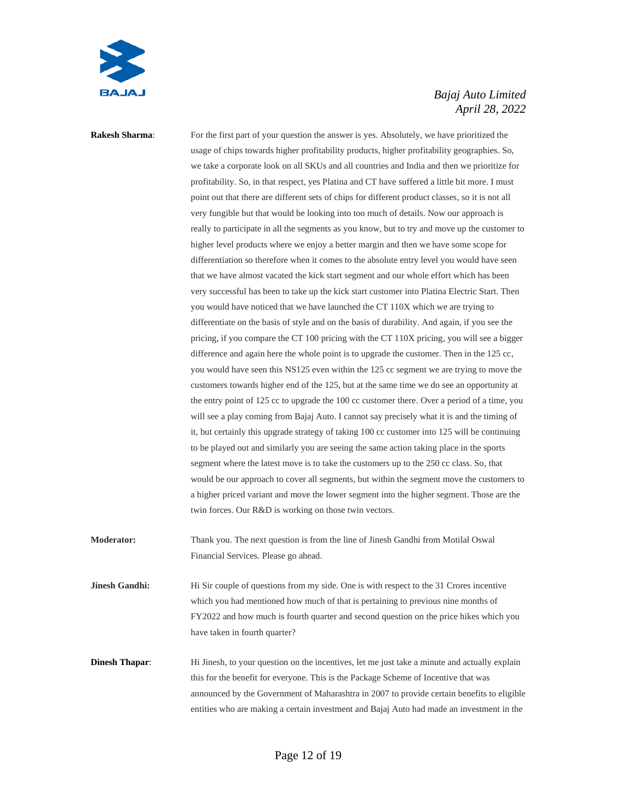

**Rakesh Sharma:** For the first part of your question the answer is yes. Absolutely, we have prioritized the usage of chips towards higher profitability products, higher profitability geographies. So, we take a corporate look on all SKUs and all countries and India and then we prioritize for profitability. So, in that respect, yes Platina and CT have suffered a little bit more. I must point out that there are different sets of chips for different product classes, so it is not all very fungible but that would be looking into too much of details. Now our approach is really to participate in all the segments as you know, but to try and move up the customer to higher level products where we enjoy a better margin and then we have some scope for differentiation so therefore when it comes to the absolute entry level you would have seen that we have almost vacated the kick start segment and our whole effort which has been very successful has been to take up the kick start customer into Platina Electric Start. Then you would have noticed that we have launched the CT 110X which we are trying to differentiate on the basis of style and on the basis of durability. And again, if you see the pricing, if you compare the CT 100 pricing with the CT 110X pricing, you will see a bigger difference and again here the whole point is to upgrade the customer. Then in the 125 cc, you would have seen this NS125 even within the 125 cc segment we are trying to move the customers towards higher end of the 125, but at the same time we do see an opportunity at the entry point of 125 cc to upgrade the 100 cc customer there. Over a period of a time, you will see a play coming from Bajaj Auto. I cannot say precisely what it is and the timing of it, but certainly this upgrade strategy of taking 100 cc customer into 125 will be continuing to be played out and similarly you are seeing the same action taking place in the sports segment where the latest move is to take the customers up to the 250 cc class. So, that would be our approach to cover all segments, but within the segment move the customers to a higher priced variant and move the lower segment into the higher segment. Those are the twin forces. Our R&D is working on those twin vectors.

**Moderator:** Thank you. The next question is from the line of Jinesh Gandhi from Motilal Oswal Financial Services. Please go ahead.

**Jinesh Gandhi:** Hi Sir couple of questions from my side. One is with respect to the 31 Crores incentive which you had mentioned how much of that is pertaining to previous nine months of FY2022 and how much is fourth quarter and second question on the price hikes which you have taken in fourth quarter?

**Dinesh Thapar:** Hi Jinesh, to your question on the incentives, let me just take a minute and actually explain this for the benefit for everyone. This is the Package Scheme of Incentive that was announced by the Government of Maharashtra in 2007 to provide certain benefits to eligible entities who are making a certain investment and Bajaj Auto had made an investment in the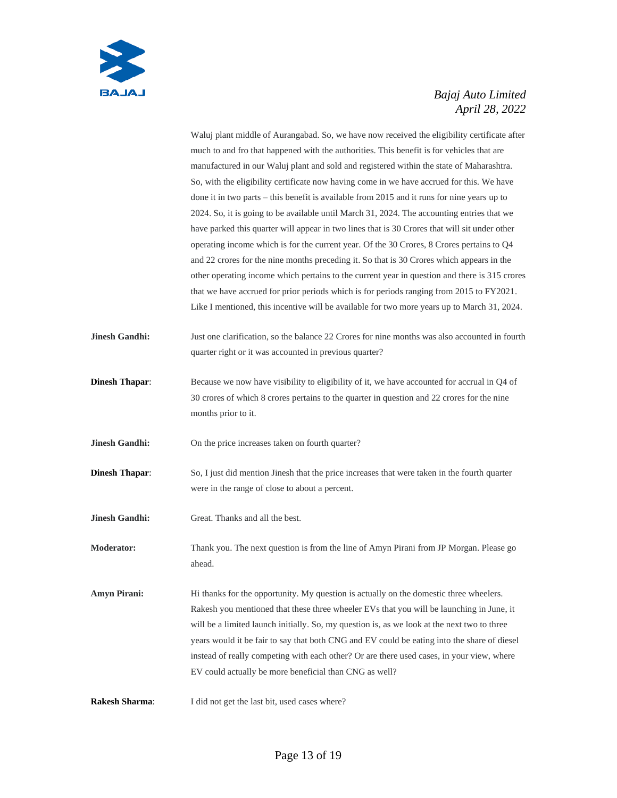

|                       | Waluj plant middle of Aurangabad. So, we have now received the eligibility certificate after  |
|-----------------------|-----------------------------------------------------------------------------------------------|
|                       | much to and fro that happened with the authorities. This benefit is for vehicles that are     |
|                       | manufactured in our Waluj plant and sold and registered within the state of Maharashtra.      |
|                       | So, with the eligibility certificate now having come in we have accrued for this. We have     |
|                       | done it in two parts – this benefit is available from 2015 and it runs for nine years up to   |
|                       | 2024. So, it is going to be available until March 31, 2024. The accounting entries that we    |
|                       | have parked this quarter will appear in two lines that is 30 Crores that will sit under other |
|                       | operating income which is for the current year. Of the 30 Crores, 8 Crores pertains to Q4     |
|                       | and 22 crores for the nine months preceding it. So that is 30 Crores which appears in the     |
|                       | other operating income which pertains to the current year in question and there is 315 crores |
|                       | that we have accrued for prior periods which is for periods ranging from 2015 to FY2021.      |
|                       | Like I mentioned, this incentive will be available for two more years up to March 31, 2024.   |
| <b>Jinesh Gandhi:</b> | Just one clarification, so the balance 22 Crores for nine months was also accounted in fourth |
|                       | quarter right or it was accounted in previous quarter?                                        |
| <b>Dinesh Thapar:</b> | Because we now have visibility to eligibility of it, we have accounted for accrual in Q4 of   |
|                       | 30 crores of which 8 crores pertains to the quarter in question and 22 crores for the nine    |
|                       | months prior to it.                                                                           |
| <b>Jinesh Gandhi:</b> | On the price increases taken on fourth quarter?                                               |
| <b>Dinesh Thapar:</b> | So, I just did mention Jinesh that the price increases that were taken in the fourth quarter  |
|                       | were in the range of close to about a percent.                                                |
| <b>Jinesh Gandhi:</b> | Great. Thanks and all the best.                                                               |
| <b>Moderator:</b>     | Thank you. The next question is from the line of Amyn Pirani from JP Morgan. Please go        |
|                       | ahead.                                                                                        |
| <b>Amyn Pirani:</b>   | Hi thanks for the opportunity. My question is actually on the domestic three wheelers.        |
|                       | Rakesh you mentioned that these three wheeler EVs that you will be launching in June, it      |
|                       | will be a limited launch initially. So, my question is, as we look at the next two to three   |
|                       | years would it be fair to say that both CNG and EV could be eating into the share of diesel   |
|                       | instead of really competing with each other? Or are there used cases, in your view, where     |
|                       | EV could actually be more beneficial than CNG as well?                                        |
| <b>Rakesh Sharma:</b> | I did not get the last bit, used cases where?                                                 |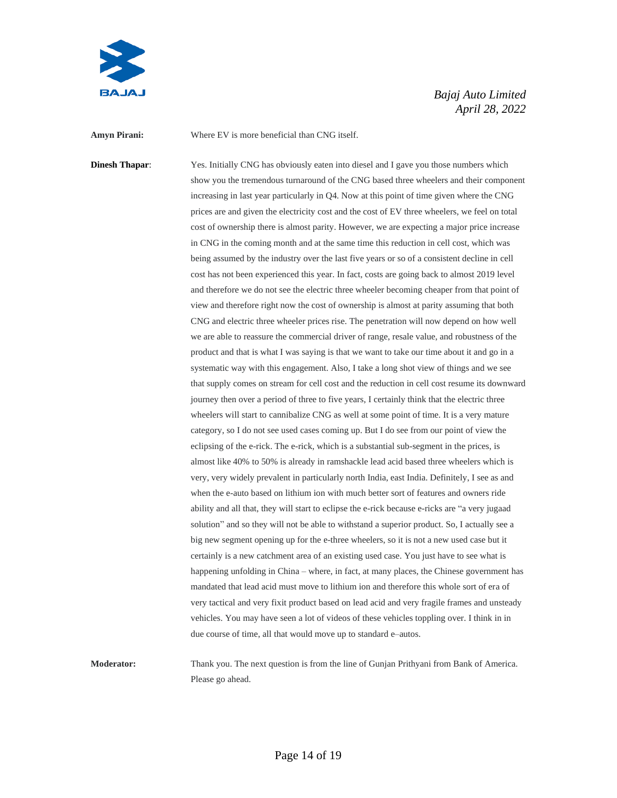

**Amyn Pirani:** Where EV is more beneficial than CNG itself.

**Dinesh Thapar:** Yes. Initially CNG has obviously eaten into diesel and I gave you those numbers which show you the tremendous turnaround of the CNG based three wheelers and their component increasing in last year particularly in Q4. Now at this point of time given where the CNG prices are and given the electricity cost and the cost of EV three wheelers, we feel on total cost of ownership there is almost parity. However, we are expecting a major price increase in CNG in the coming month and at the same time this reduction in cell cost, which was being assumed by the industry over the last five years or so of a consistent decline in cell cost has not been experienced this year. In fact, costs are going back to almost 2019 level and therefore we do not see the electric three wheeler becoming cheaper from that point of view and therefore right now the cost of ownership is almost at parity assuming that both CNG and electric three wheeler prices rise. The penetration will now depend on how well we are able to reassure the commercial driver of range, resale value, and robustness of the product and that is what I was saying is that we want to take our time about it and go in a systematic way with this engagement. Also, I take a long shot view of things and we see that supply comes on stream for cell cost and the reduction in cell cost resume its downward journey then over a period of three to five years, I certainly think that the electric three wheelers will start to cannibalize CNG as well at some point of time. It is a very mature category, so I do not see used cases coming up. But I do see from our point of view the eclipsing of the e-rick. The e-rick, which is a substantial sub-segment in the prices, is almost like 40% to 50% is already in ramshackle lead acid based three wheelers which is very, very widely prevalent in particularly north India, east India. Definitely, I see as and when the e-auto based on lithium ion with much better sort of features and owners ride ability and all that, they will start to eclipse the e-rick because e-ricks are "a very jugaad solution" and so they will not be able to withstand a superior product. So, I actually see a big new segment opening up for the e-three wheelers, so it is not a new used case but it certainly is a new catchment area of an existing used case. You just have to see what is happening unfolding in China – where, in fact, at many places, the Chinese government has mandated that lead acid must move to lithium ion and therefore this whole sort of era of very tactical and very fixit product based on lead acid and very fragile frames and unsteady vehicles. You may have seen a lot of videos of these vehicles toppling over. I think in in due course of time, all that would move up to standard e–autos.

**Moderator:** Thank you. The next question is from the line of Gunjan Prithyani from Bank of America. Please go ahead.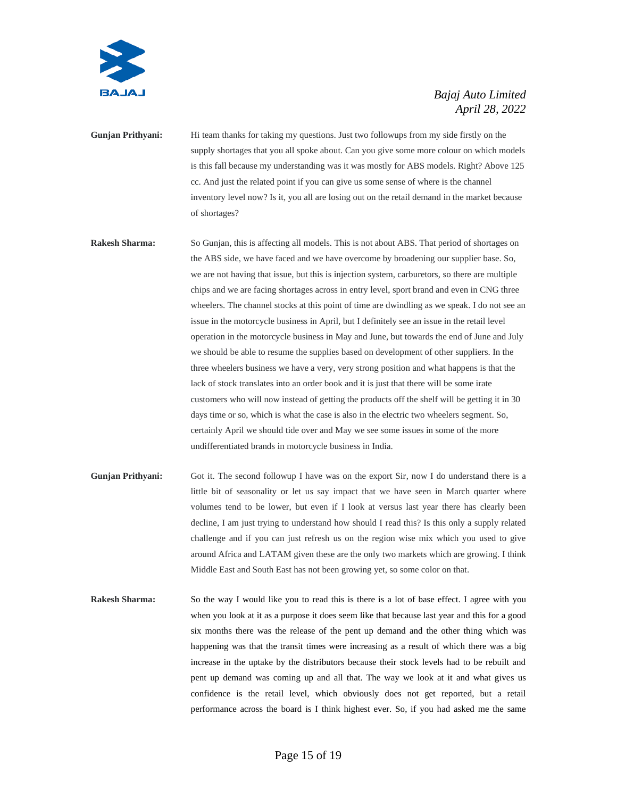

**Gunjan Prithyani:** Hi team thanks for taking my questions. Just two followups from my side firstly on the supply shortages that you all spoke about. Can you give some more colour on which models is this fall because my understanding was it was mostly for ABS models. Right? Above 125 cc. And just the related point if you can give us some sense of where is the channel inventory level now? Is it, you all are losing out on the retail demand in the market because of shortages?

**Rakesh Sharma:** So Gunjan, this is affecting all models. This is not about ABS. That period of shortages on the ABS side, we have faced and we have overcome by broadening our supplier base. So, we are not having that issue, but this is injection system, carburetors, so there are multiple chips and we are facing shortages across in entry level, sport brand and even in CNG three wheelers. The channel stocks at this point of time are dwindling as we speak. I do not see an issue in the motorcycle business in April, but I definitely see an issue in the retail level operation in the motorcycle business in May and June, but towards the end of June and July we should be able to resume the supplies based on development of other suppliers. In the three wheelers business we have a very, very strong position and what happens is that the lack of stock translates into an order book and it is just that there will be some irate customers who will now instead of getting the products off the shelf will be getting it in 30 days time or so, which is what the case is also in the electric two wheelers segment. So, certainly April we should tide over and May we see some issues in some of the more undifferentiated brands in motorcycle business in India.

- **Gunjan Prithyani:** Got it. The second followup I have was on the export Sir, now I do understand there is a little bit of seasonality or let us say impact that we have seen in March quarter where volumes tend to be lower, but even if I look at versus last year there has clearly been decline, I am just trying to understand how should I read this? Is this only a supply related challenge and if you can just refresh us on the region wise mix which you used to give around Africa and LATAM given these are the only two markets which are growing. I think Middle East and South East has not been growing yet, so some color on that.
- **Rakesh Sharma:** So the way I would like you to read this is there is a lot of base effect. I agree with you when you look at it as a purpose it does seem like that because last year and this for a good six months there was the release of the pent up demand and the other thing which was happening was that the transit times were increasing as a result of which there was a big increase in the uptake by the distributors because their stock levels had to be rebuilt and pent up demand was coming up and all that. The way we look at it and what gives us confidence is the retail level, which obviously does not get reported, but a retail performance across the board is I think highest ever. So, if you had asked me the same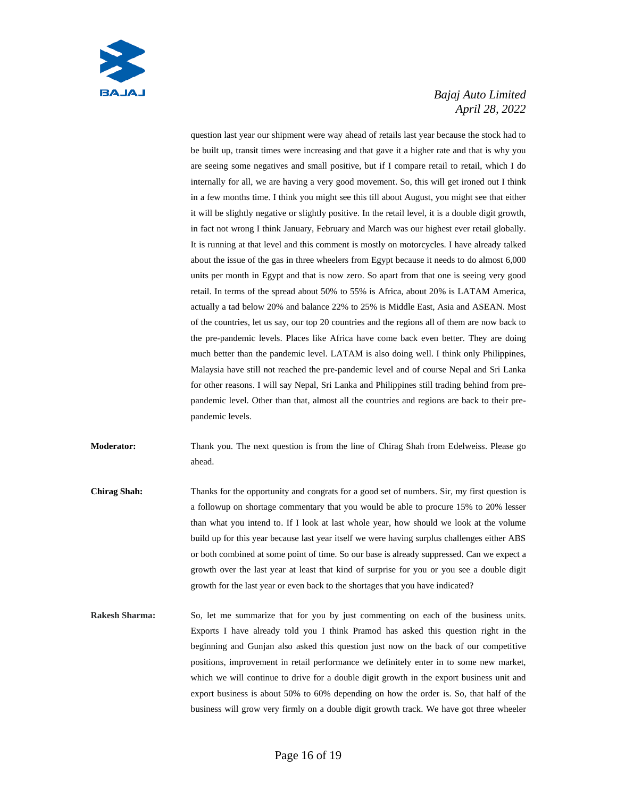

question last year our shipment were way ahead of retails last year because the stock had to be built up, transit times were increasing and that gave it a higher rate and that is why you are seeing some negatives and small positive, but if I compare retail to retail, which I do internally for all, we are having a very good movement. So, this will get ironed out I think in a few months time. I think you might see this till about August, you might see that either it will be slightly negative or slightly positive. In the retail level, it is a double digit growth, in fact not wrong I think January, February and March was our highest ever retail globally. It is running at that level and this comment is mostly on motorcycles. I have already talked about the issue of the gas in three wheelers from Egypt because it needs to do almost 6,000 units per month in Egypt and that is now zero. So apart from that one is seeing very good retail. In terms of the spread about 50% to 55% is Africa, about 20% is LATAM America, actually a tad below 20% and balance 22% to 25% is Middle East, Asia and ASEAN. Most of the countries, let us say, our top 20 countries and the regions all of them are now back to the pre-pandemic levels. Places like Africa have come back even better. They are doing much better than the pandemic level. LATAM is also doing well. I think only Philippines, Malaysia have still not reached the pre-pandemic level and of course Nepal and Sri Lanka for other reasons. I will say Nepal, Sri Lanka and Philippines still trading behind from prepandemic level. Other than that, almost all the countries and regions are back to their prepandemic levels.

**Moderator:** Thank you. The next question is from the line of Chirag Shah from Edelweiss. Please go ahead.

- **Chirag Shah:** Thanks for the opportunity and congrats for a good set of numbers. Sir, my first question is a followup on shortage commentary that you would be able to procure 15% to 20% lesser than what you intend to. If I look at last whole year, how should we look at the volume build up for this year because last year itself we were having surplus challenges either ABS or both combined at some point of time. So our base is already suppressed. Can we expect a growth over the last year at least that kind of surprise for you or you see a double digit growth for the last year or even back to the shortages that you have indicated?
- **Rakesh Sharma:** So, let me summarize that for you by just commenting on each of the business units. Exports I have already told you I think Pramod has asked this question right in the beginning and Gunjan also asked this question just now on the back of our competitive positions, improvement in retail performance we definitely enter in to some new market, which we will continue to drive for a double digit growth in the export business unit and export business is about 50% to 60% depending on how the order is. So, that half of the business will grow very firmly on a double digit growth track. We have got three wheeler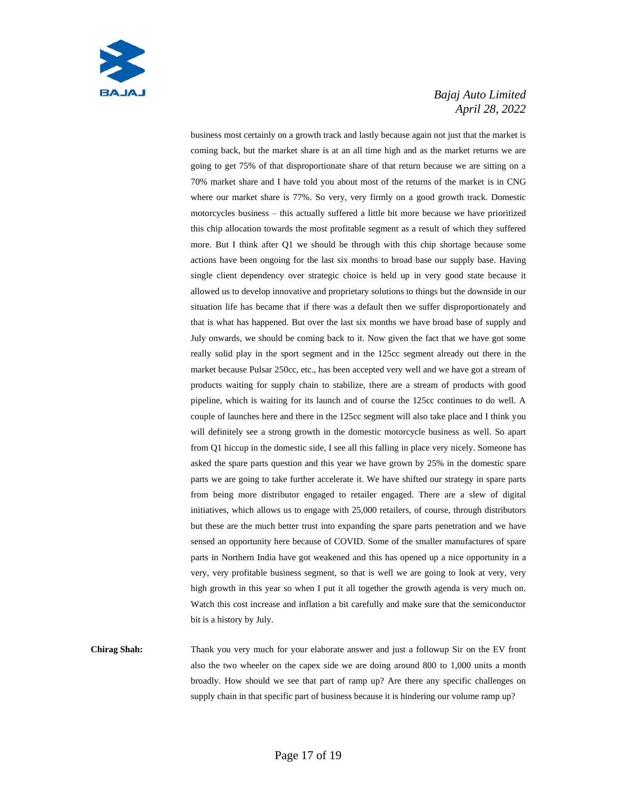

business most certainly on a growth track and lastly because again not just that the market is coming back, but the market share is at an all time high and as the market returns we are going to get 75% of that disproportionate share of that return because we are sitting on a 70% market share and I have told you about most of the returns of the market is in CNG where our market share is 77%. So very, very firmly on a good growth track. Domestic motorcycles business – this actually suffered a little bit more because we have prioritized this chip allocation towards the most profitable segment as a result of which they suffered more. But I think after Q1 we should be through with this chip shortage because some actions have been ongoing for the last six months to broad base our supply base. Having single client dependency over strategic choice is held up in very good state because it allowed us to develop innovative and proprietary solutions to things but the downside in our situation life has became that if there was a default then we suffer disproportionately and that is what has happened. But over the last six months we have broad base of supply and July onwards, we should be coming back to it. Now given the fact that we have got some really solid play in the sport segment and in the 125cc segment already out there in the market because Pulsar 250cc, etc., has been accepted very well and we have got a stream of products waiting for supply chain to stabilize, there are a stream of products with good pipeline, which is waiting for its launch and of course the 125cc continues to do well. A couple of launches here and there in the 125cc segment will also take place and I think you will definitely see a strong growth in the domestic motorcycle business as well. So apart from Q1 hiccup in the domestic side, I see all this falling in place very nicely. Someone has asked the spare parts question and this year we have grown by 25% in the domestic spare parts we are going to take further accelerate it. We have shifted our strategy in spare parts from being more distributor engaged to retailer engaged. There are a slew of digital initiatives, which allows us to engage with 25,000 retailers, of course, through distributors but these are the much better trust into expanding the spare parts penetration and we have sensed an opportunity here because of COVID. Some of the smaller manufactures of spare parts in Northern India have got weakened and this has opened up a nice opportunity in a very, very profitable business segment, so that is well we are going to look at very, very high growth in this year so when I put it all together the growth agenda is very much on. Watch this cost increase and inflation a bit carefully and make sure that the semiconductor bit is a history by July.

**Chirag Shah:** Thank you very much for your elaborate answer and just a followup Sir on the EV front also the two wheeler on the capex side we are doing around 800 to 1,000 units a month broadly. How should we see that part of ramp up? Are there any specific challenges on supply chain in that specific part of business because it is hindering our volume ramp up?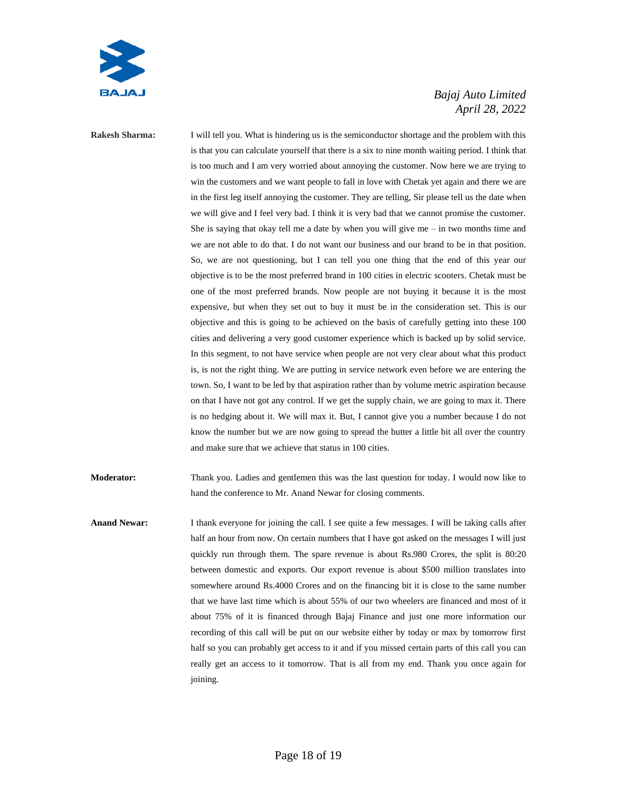

**Rakesh Sharma:** I will tell you. What is hindering us is the semiconductor shortage and the problem with this is that you can calculate yourself that there is a six to nine month waiting period. I think that is too much and I am very worried about annoying the customer. Now here we are trying to win the customers and we want people to fall in love with Chetak yet again and there we are in the first leg itself annoying the customer. They are telling, Sir please tell us the date when we will give and I feel very bad. I think it is very bad that we cannot promise the customer. She is saying that okay tell me a date by when you will give me  $-$  in two months time and we are not able to do that. I do not want our business and our brand to be in that position. So, we are not questioning, but I can tell you one thing that the end of this year our objective is to be the most preferred brand in 100 cities in electric scooters. Chetak must be one of the most preferred brands. Now people are not buying it because it is the most expensive, but when they set out to buy it must be in the consideration set. This is our objective and this is going to be achieved on the basis of carefully getting into these 100 cities and delivering a very good customer experience which is backed up by solid service. In this segment, to not have service when people are not very clear about what this product is, is not the right thing. We are putting in service network even before we are entering the town. So, I want to be led by that aspiration rather than by volume metric aspiration because on that I have not got any control. If we get the supply chain, we are going to max it. There is no hedging about it. We will max it. But, I cannot give you a number because I do not know the number but we are now going to spread the butter a little bit all over the country and make sure that we achieve that status in 100 cities.

**Moderator:** Thank you. Ladies and gentlemen this was the last question for today. I would now like to hand the conference to Mr. Anand Newar for closing comments.

**Anand Newar:** I thank everyone for joining the call. I see quite a few messages. I will be taking calls after half an hour from now. On certain numbers that I have got asked on the messages I will just quickly run through them. The spare revenue is about Rs.980 Crores, the split is 80:20 between domestic and exports. Our export revenue is about \$500 million translates into somewhere around Rs.4000 Crores and on the financing bit it is close to the same number that we have last time which is about 55% of our two wheelers are financed and most of it about 75% of it is financed through Bajaj Finance and just one more information our recording of this call will be put on our website either by today or max by tomorrow first half so you can probably get access to it and if you missed certain parts of this call you can really get an access to it tomorrow. That is all from my end. Thank you once again for joining.